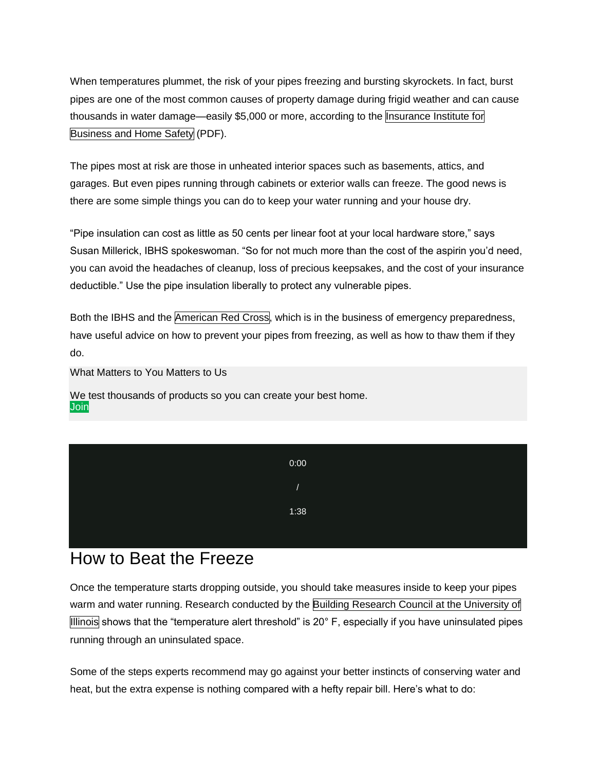When temperatures plummet, the risk of your pipes freezing and bursting skyrockets. In fact, burst pipes are one of the most common causes of property damage during frigid weather and can cause thousands in water damage—easily \$5,000 or more, according to the [Insurance](http://disastersafety.org/wp-content/uploads/Freezing-Bursting-Pipes_IBHS-White.pdf) Institute for [Business](http://disastersafety.org/wp-content/uploads/Freezing-Bursting-Pipes_IBHS-White.pdf) and Home Safety (PDF).

The pipes most at risk are those in unheated interior spaces such as basements, attics, and garages. But even pipes running through cabinets or exterior walls can freeze. The good news is there are some simple things you can do to keep your water running and your house dry.

"Pipe insulation can cost as little as 50 cents per linear foot at your local hardware store," says Susan Millerick, IBHS spokeswoman. "So for not much more than the cost of the aspirin you'd need, you can avoid the headaches of cleanup, loss of precious keepsakes, and the cost of your insurance deductible." Use the pipe insulation liberally to protect any vulnerable pipes.

Both the IBHS and the [American](http://www.redcross.org/get-help/how-to-prepare-for-emergencies/types-of-emergencies/winter-storm/frozen-pipes) Red Cross, which is in the business of emergency preparedness, have useful advice on how to prevent your pipes from freezing, as well as how to thaw them if they do.

What Matters to You Matters to Us

We test thousands of products so you can create your best home. **[Join](https://oascentral.consumerreports.org/RealMedia/ads/click_lx.ads/cu/home-maintenance-repairs/how-to-keep-pipes-from-freezing/L2/1137149300/x73/Consumer/Membership_Anonymous_ATC_x73/48676221.html/626e483275317852734834414145734b?www.consumerreports.org/join?INTKEY=I82HA01)** 

| 0:00           |
|----------------|
| $\overline{1}$ |
| 1:38           |
|                |

## How to Beat the Freeze

Once the temperature starts dropping outside, you should take measures inside to keep your pipes warm and water running. Research conducted by the Building Research Council at the [University](http://disastersafety.org/wp-content/uploads/Freezing-Bursting-Pipes_IBHS-White.pdf) of [Illinois](http://disastersafety.org/wp-content/uploads/Freezing-Bursting-Pipes_IBHS-White.pdf) shows that the "temperature alert threshold" is 20° F, especially if you have uninsulated pipes running through an uninsulated space.

Some of the steps experts recommend may go against your better instincts of conserving water and heat, but the extra expense is nothing compared with a hefty repair bill. Here's what to do: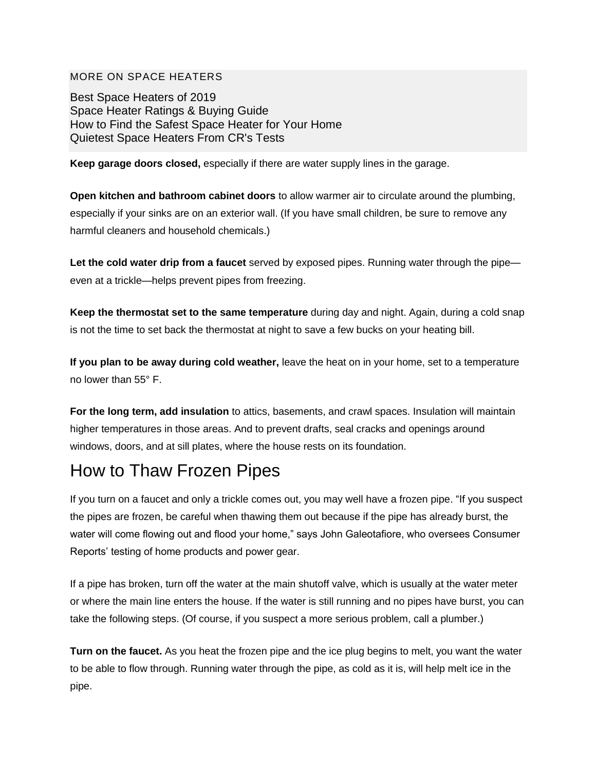## MORE ON SPACE HEATERS

[Best Space Heaters of 2019](https://www.consumerreports.org/space-heaters/best-space-heaters-of-the-year/) [Space Heater Ratings & Buying Guide](https://www.consumerreports.org/cro/space-heaters/) [How to Find the Safest Space Heater for Your Home](https://www.consumerreports.org/space-heaters/space-heater-safety-tips/) [Quietest Space Heaters From CR's Tests](https://www.consumerreports.org/space-heaters/quietest-space-heaters-from-cr-s-tests/)

**Keep garage doors closed,** especially if there are water supply lines in the garage.

**Open kitchen and bathroom cabinet doors** to allow warmer air to circulate around the plumbing, especially if your sinks are on an exterior wall. (If you have small children, be sure to remove any harmful cleaners and household chemicals.)

**Let the cold water drip from a faucet** served by exposed pipes. Running water through the pipe even at a trickle—helps prevent pipes from freezing.

**Keep the thermostat set to the same temperature** during day and night. Again, during a cold snap is not the time to set back the thermostat at night to save a few bucks on your heating bill.

**If you plan to be away during cold weather,** leave the heat on in your home, set to a temperature no lower than 55° F.

**For the long term, add insulation** to attics, basements, and crawl spaces. Insulation will maintain higher temperatures in those areas. And to prevent drafts, seal cracks and openings around windows, doors, and at sill plates, where the house rests on its foundation.

## How to Thaw Frozen Pipes

If you turn on a faucet and only a trickle comes out, you may well have a frozen pipe. "If you suspect the pipes are frozen, be careful when thawing them out because if the pipe has already burst, the water will come flowing out and flood your home," says John Galeotafiore, who oversees Consumer Reports' testing of home products and power gear.

If a pipe has broken, turn off the water at the main shutoff valve, which is usually at the water meter or where the main line enters the house. If the water is still running and no pipes have burst, you can take the following steps. (Of course, if you suspect a more serious problem, call a plumber.)

**Turn on the faucet.** As you heat the frozen pipe and the ice plug begins to melt, you want the water to be able to flow through. Running water through the pipe, as cold as it is, will help melt ice in the pipe.